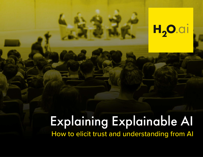# H<sub>2</sub>O.ai

## Explaining Explainable AI How to elicit trust and understanding from AI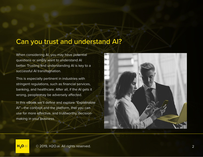### Can you trust and understand AI?

When considering AI, you may have potential questions or simply want to understand AI better. Trusting and understanding AI is key to a successful AI transformation.

This is especially pertinent in industries with stringent regulations, such as financial services, banking, and healthcare. After all, if the AI gets it wrong, people may be adversely affected.

In this eBook we'll define and explore "Explainable AI"—the concept and the platform, that you can use for more effective, and trustworthy, decisionmaking in your business.

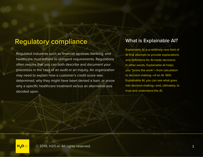### Regulatory compliance What is Explainable AI?

Regulated industries such as financial services, banking, and healthcare must adhere to stringent requirements. Regulations often require that you can both describe and document your processes in the case of an audit or an inquiry. An organization may need to explain how a customer's credit score was determined, why they might have been denied a loan, or prove why a specific healthcare treatment versus an alternative was decided upon.

Explainable AI is a relatively new field of AI that attempts to provide explanations and definitions for AI-made decisions. In other words, Explainable AI helps you "prove the work"—from calculation to decision-making—of an AI. With Explainable AI, you can see what goes into decision-making—and, ultimately, to trust and understand the AI.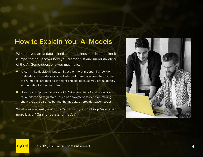### How to Explain Your AI Models

Whether you are a data scientist or a business decision maker it is important to uncover how you create trust and understanding of the AI. Some questions you may have:

- AI can make decisions, but can I trust, or more importantly, how do I understand those decisions and interpret them? You need to trust that the AI models are making the right choices because you are ultimately accountable for the decisions.
- $\blacksquare$  How do you "prove the work" of AI? You need to rationalize decisions for auditors and regulators—such as show steps to decision-making, show the transparency behind the models, or provide reason codes.

What you are really asking is "What is my AI thinking?"—or, even more basic, "Can I understand the AI?"

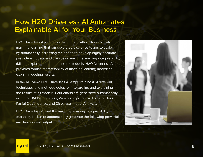### How H2O Driverless AI Automates Explainable AI for Your Business

H2O Driverless AI is an award-winning platform for automatic machine learning that empowers data science teams to scale by dramatically increasing the speed to develop highly accurate predictive models, and then using machine learning interpretability (MLI) to explain and understand the models. H2O Driverless AI provides robust interpretability of machine learning models to explain modeling results.

In the MLI view, H2O Driverless AI employs a host of different techniques and methodologies for interpreting and explaining the results of its models. Four charts are generated automatically including: K-LIME, Shapley, Variable Importance, Decision Tree, Partial Dependence, and Disparate Impact Analysis.

H2O Driverless AI and the machine learning interpretability capability is able to automatically generate the following powerful and transparent outputs:

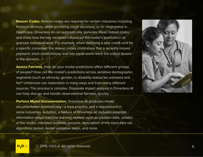**Reason Codes.** Reason codes are required for certain industries including financial services, when providing credit decisions, or for diagnostics in healthcare. Driverless AI can automatically generate these reason codes and show how the key variables influenced the model's prediction—at granular individual level. For example, when declining a new credit card for a specific consumer, the reason codes could show that a recently missed payment, short credit history, and low credit score were the critical factors in the decision.

**Assess Fairness.** How do your model predictions affect different groups of people? How can the model's predictions across sensitive demographic segments (such as ethnicity, gender, or disability status) be unbiased and fair? Unfairness can materialize in many ways and from many different sources. The process is complex. Disparate impact analysis in Driverless AI can help discuss and handle observational fairness, quickly.

**Perform Model Documentation.** Driverless AI produces model documentation automatically—a best practice, and a requirement in some industries. AutoDoc, a feature of Driverless AI, includes essential information about machine learning models, such as creation date, creator of the model, intended business purpose, description of the input data set, algorithms tested, model validation steps, and more.